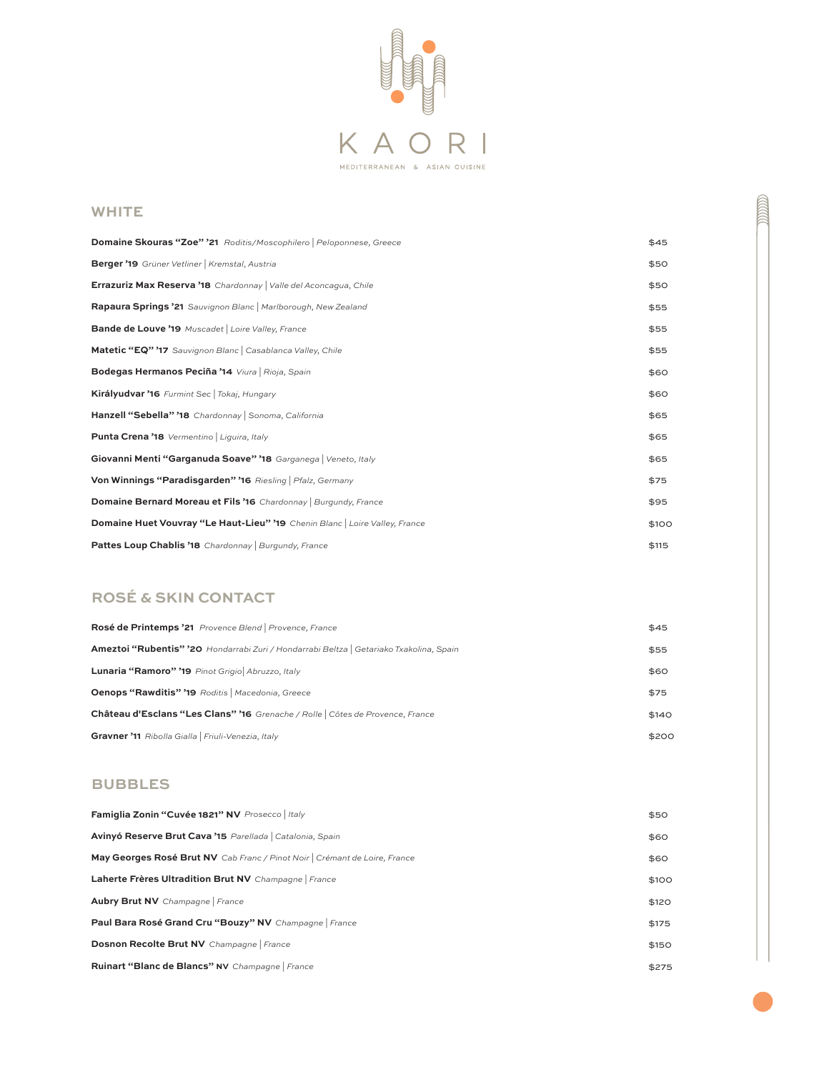

## **WHITE**

| Domaine Skouras "Zoe" '21 Roditis/Moscophilero Peloponnese, Greece          | \$45  |
|-----------------------------------------------------------------------------|-------|
| Berger '19 Grüner Vetliner   Kremstal, Austria                              | \$50  |
| <b>Errazuriz Max Reserva '18</b> Chardonnay   Valle del Aconcagua, Chile    | \$50  |
| Rapaura Springs '21 Sauvignon Blanc   Marlborough, New Zealand              | \$55  |
| <b>Bande de Louve '19</b> Muscadet   Loire Valley, France                   | \$55  |
| Matetic "EQ" '17 Sauvignon Blanc   Casablanca Valley, Chile                 | \$55  |
| Bodegas Hermanos Peciña '14 Viura   Rioja, Spain                            | \$60  |
| Királyudvar '16 Furmint Sec   Tokaj, Hungary                                | \$60  |
| Hanzell "Sebella" '18 Chardonnay Sonoma, California                         | \$65  |
| Punta Crena '18 Vermentino   Liguira, Italy                                 | \$65  |
| Giovanni Menti "Garganuda Soave" '18 Garganega   Veneto, Italy              | \$65  |
| Von Winnings "Paradisgarden" '16 Riesling   Pfalz, Germany                  | \$75  |
| <b>Domaine Bernard Moreau et Fils '16</b> Chardonnay   Burgundy, France     | \$95  |
| Domaine Huet Vouvray "Le Haut-Lieu" '19 Chenin Blanc   Loire Valley, France | \$100 |
| Pattes Loup Chablis '18 Chardonnay   Burgundy, France                       | \$115 |

## **ROSÉ & SKIN CONTACT**

| Rosé de Printemps '21 Provence Blend   Provence, France                                        | \$45  |
|------------------------------------------------------------------------------------------------|-------|
| <b>Ameztoi "Rubentis" '20</b> Hondarrabi Zuri / Hondarrabi Beltza   Getariako Txakolina, Spain | \$55  |
| Lunaria "Ramoro" '19 Pinot Grigio Abruzzo, Italy                                               | \$60  |
| Oenops "Rawditis" '19 Roditis   Macedonia, Greece                                              | \$75  |
| Château d'Esclans "Les Clans" '16 Grenache / Rolle   Côtes de Provence, France                 | \$140 |
| Gravner '11 Ribolla Gialla   Friuli-Venezia, Italy                                             | \$200 |

## **BUBBLES**

| Famiglia Zonin "Cuvée 1821" NV Prosecco   Italy                            | \$50  |
|----------------------------------------------------------------------------|-------|
| Avinyó Reserve Brut Cava '15 Parellada   Catalonia, Spain                  | \$60  |
| May Georges Rosé Brut NV Cab Franc / Pinot Noir   Crémant de Loire, France | \$60  |
| Laherte Frères Ultradition Brut NV Champagne   France                      | \$100 |
| <b>Aubry Brut NV</b> Champagne France                                      | \$120 |
| Paul Bara Rosé Grand Cru "Bouzy" NV Champagne   France                     | \$175 |
| Dosnon Recolte Brut NV Champagne   France                                  | \$150 |
| Ruinart "Blanc de Blancs" NV Champagne   France                            | \$275 |